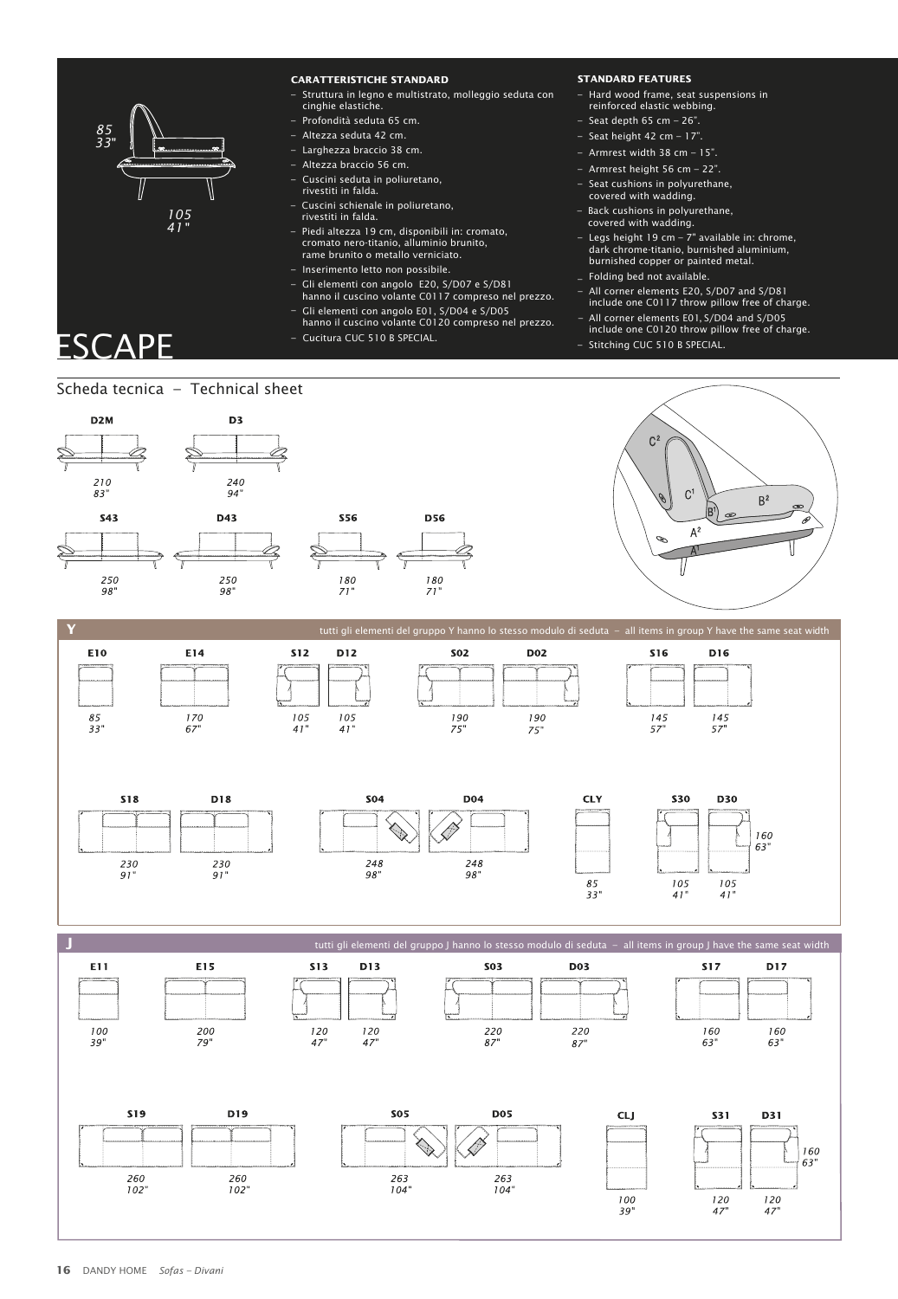

#### **CARATTERISTICHE STANDARD CARATTERISTICHE STANDARD**

- Struttura in legno e multistrato, molleggio seduta con Struttura in legno e multistrato, molleggio seduta con cinghie elastiche. cinghie elastiche.
- Profondità seduta 65 cm. Profondità seduta 65 cm.
- Altezza seduta 42 cm. Altezza seduta 42 cm.
- Larghezza braccio 38 cm. Larghezza braccio 38 cm.
- Altezza braccio 56 cm. Altezza braccio 56 cm.
- Cuscini seduta in poliuretano, Cuscini seduta in poliuretano, rivestiti in falda. rivestiti in falda.
- – Cuscini schienale in poliuretano, – Cuscini schienale in poliuretano,
- 
- Piedi altezza 19 cm, disponibili in: cromato, cromato nero-titanio, alluminio brunito, rame brunito o metallo verniciato. di altezza 19 cm, disponibili in: cromato, 1to nero-titanio, alluminio brunito, brunito o metallo verniciato.
- Inserimento letto non possibile. Inserimento letto non possibile.
- Gli elementi con angolo E20, S/D07 e S/D81 Gli elementi con angolo E20, S/D07 e S/D81 hanno il cuscino volante C0117 compreso nel prezzo. – hanno il cuscino volante C0117 compreso nel prezzo. All corner elements E20, S/D07 and S/D81 include one C0117 throw pillow free of charge.
- Gli elementi con angolo E01, S/D04 e S/D05 hanno il cuscino volante C0120 compreso nel prezzo. All corner elements E01, S/D04 and S/D05 – Gli elementi con angolo E01, S/D04 e S/D05 hanno il cuscino volante C0120 compreso nel prezzo. All corner elements E01, S/D04 and S/D05 –
- Cucitura CUC 510 B SPECIAL. Cucitura CUC 510 B SPECIAL.

#### **STANDARD FEATURES STANDARD FEATURES**

- Hard wood frame, seat suspensions in Hard wood frame, seat suspensions in
- reinforced elastic webbing. reinforced elastic webbing.
- Seat depth 65 cm 26". –Seat depth 65 cm 26".
- Seat height 42 cm 17". –Seat height 42 cm 17".
- Armrest width 38 cm 15". Armrest width 38 cm 15".
- Armrest height 56 cm 22".
- Seat cushions in polyurethane, covered with wadding. t cushions in polyurethane, covered with wadding.
- rivestiti in falda. Back cushions in polyurethane, rivestiti in falda. Back cushions in polyurethane, covered with wadding. covered with wadding.
	- Legs height 19 cm 7" available in: chrome, dark chrome-titanio, burnished aluminium, burnished copper or painted metal. burnished copper or painted metal. 1s height 19 cm – 7" available in: chrome, chrome-titanio, burnished aluminium,
	- Folding bed not available. Folding bed not available.
	- –
	- include one C0117 throw pillow free of charge.
	- include one C0120 throw pillow free of charge. include one C0120 throw pillow free of charge.
	- Stitching CUC 510 B SPECIAL. Stitching CUC 510 B SPECIAL.

## Scheda tecnica – Technical sheet Scheda tecnica – Technical sheet



250

98

250

98